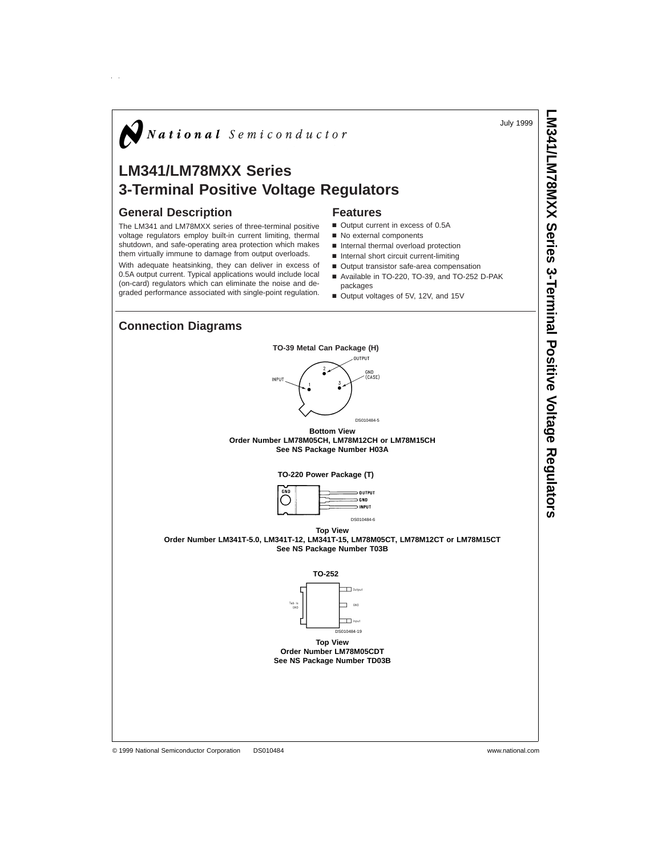July 1999

**LM341/LM78MXX**

 **Series** 

**3-Terminal**

# $\bigotimes$  National Semiconductor

## **LM341/LM78MXX Series 3-Terminal Positive Voltage Regulators**

#### **General Description**

The LM341 and LM78MXX series of three-terminal positive voltage regulators employ built-in current limiting, thermal shutdown, and safe-operating area protection which makes them virtually immune to damage from output overloads.

With adequate heatsinking, they can deliver in excess of 0.5A output current. Typical applications would include local (on-card) regulators which can eliminate the noise and degraded performance associated with single-point regulation.

#### **Features**

- Output current in excess of 0.5A
- No external components
- n Internal thermal overload protection
- $n$  Internal short circuit current-limiting
- Output transistor safe-area compensation
- Available in TO-220, TO-39, and TO-252 D-PAK
- packages
- Output voltages of 5V, 12V, and 15V

## **Connection Diagrams**

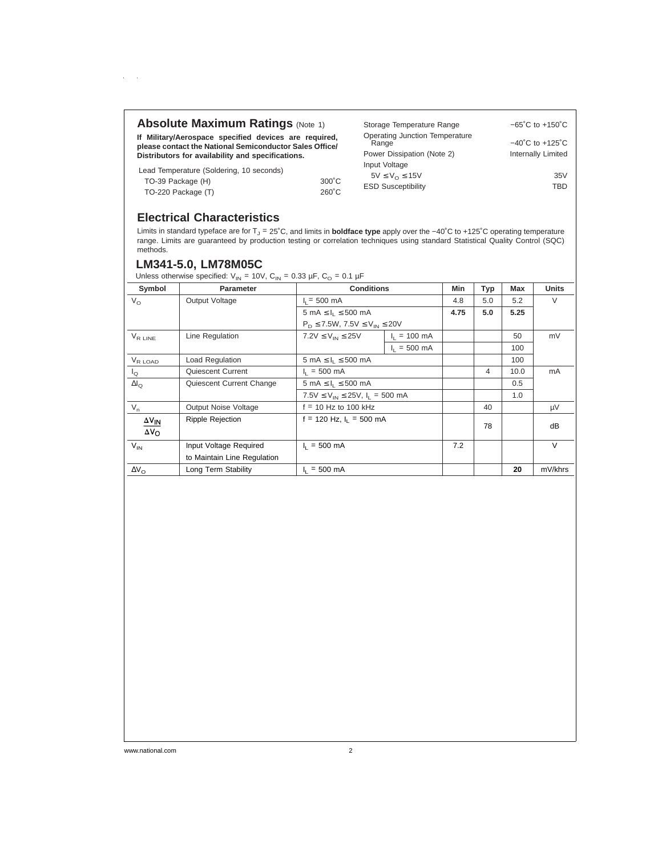#### **Absolute Maximum Ratings (Note 1)**

**If Military/Aerospace specified devices are required, please contact the National Semiconductor Sales Office/ Distributors for availability and specifications.**

Lead Temperature (Soldering, 10 seconds)

 $\alpha=1$ 

| TO-39 Package (H)  |  | $300^{\circ}$ C |
|--------------------|--|-----------------|
| TO-220 Package (T) |  | $260^{\circ}$ C |

| Storage Temperature Range               | $-65^{\circ}$ C to $+150^{\circ}$ C |
|-----------------------------------------|-------------------------------------|
| Operating Junction Temperature<br>Range | $-40^{\circ}$ C to $+125^{\circ}$ C |
| Power Dissipation (Note 2)              | <b>Internally Limited</b>           |
| Input Voltage                           |                                     |
| $5V \leq V_{\Omega} \leq 15V$           | 35V                                 |
| <b>ESD Susceptibility</b>               | TRD                                 |

## **Electrical Characteristics**

Limits in standard typeface are for T<sub>J</sub> = 25°C, and limits in **boldface type** apply over the –40°C to +125°C operating temperature<br>range. Limits are guaranteed by production testing or correlation techniques using standar methods.

#### **LM341-5.0, LM78M05C**

Unless otherwise specified:  $V_{IN}$  = 10V, C<sub>IN</sub> = 0.33 µF, C<sub>O</sub> = 0.1 µF

| -- --------- -------- - <sub>---</sub> - |                             |                                             |                        |            |                |      |              |
|------------------------------------------|-----------------------------|---------------------------------------------|------------------------|------------|----------------|------|--------------|
| Symbol                                   | <b>Parameter</b>            | <b>Conditions</b>                           |                        | <b>Min</b> | <b>Typ</b>     | Max  | <b>Units</b> |
| $V_{\Omega}$                             | Output Voltage              | $I_1 = 500$ mA                              |                        | 4.8        | 5.0            | 5.2  | V            |
|                                          |                             | $5 \text{ mA} \leq I_1 \leq 500 \text{ mA}$ |                        | 4.75       | 5.0            | 5.25 |              |
|                                          |                             | $P_D \le 7.5W$ , $7.5V \le V_{IN} \le 20V$  |                        |            |                |      |              |
| $V_{R IINE}$                             | Line Regulation             | $7.2V \leq V_{IN} \leq 25V$                 | $I_1 = 100 \text{ mA}$ |            |                | 50   | mV           |
|                                          |                             |                                             | $I_1 = 500 \text{ mA}$ |            |                | 100  |              |
| $V_{R\text{ LOAD}}$                      | Load Regulation             | $5 \text{ mA} \leq I_1 \leq 500 \text{ mA}$ |                        |            |                | 100  |              |
| $I_{\mathsf{Q}}$                         | Quiescent Current           | $I_1 = 500$ mA                              |                        |            | $\overline{4}$ | 10.0 | mA           |
| $\Delta I_{\Omega}$                      | Quiescent Current Change    | $5 \text{ mA} \leq I_1 \leq 500 \text{ mA}$ |                        |            |                | 0.5  |              |
|                                          |                             | $7.5V \le V_{IN} \le 25V$ , $I_1 = 500$ mA  |                        |            |                | 1.0  |              |
| $V_n$                                    | Output Noise Voltage        | $f = 10$ Hz to 100 kHz                      |                        |            | 40             |      | μV           |
| $\Delta V_{IN}$<br>$\Delta V_{\Omega}$   | <b>Ripple Rejection</b>     | $f = 120$ Hz, $I_1 = 500$ mA                |                        |            | 78             |      | dB           |
| $V_{IN}$                                 | Input Voltage Required      | $I_1 = 500$ mA                              |                        | 7.2        |                |      | $\vee$       |
|                                          | to Maintain Line Regulation |                                             |                        |            |                |      |              |
| $\Delta V_{\Omega}$                      | Long Term Stability         | $I_1 = 500$ mA                              |                        |            |                | 20   | mV/khrs      |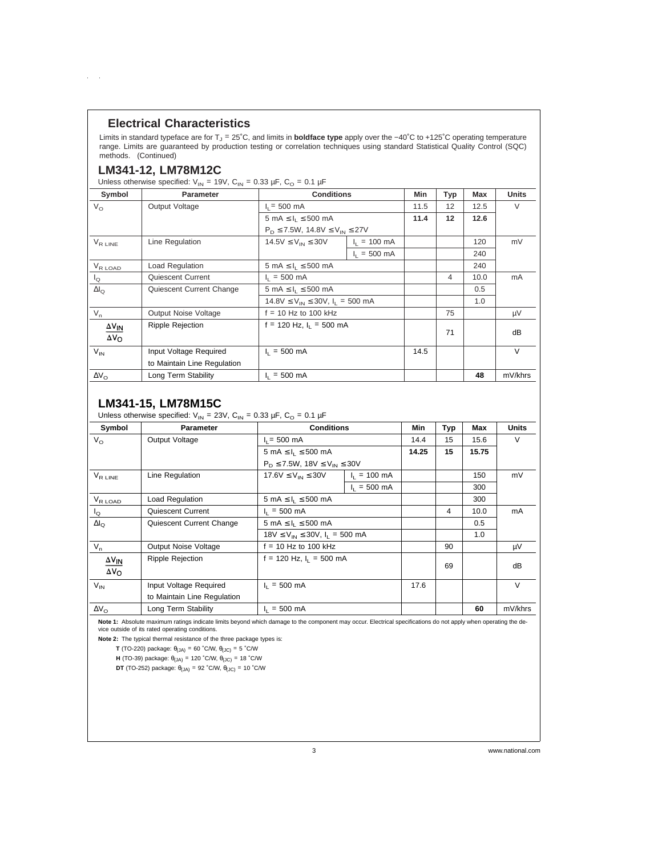#### **Electrical Characteristics**

Limits in standard typeface are for T<sub>J</sub> = 25℃, and limits in **boldface type** apply over the −40℃ to +125℃ operating temperature range. Limits are guaranteed by production testing or correlation techniques using standard Statistical Quality Control (SQC) methods. (Continued)

#### **LM341-12, LM78M12C**

 $\mathcal{L}^{\text{max}}$ 

Unless otherwise specified:  $V_{IN}$  = 19V, C<sub>IN</sub> = 0.33 µF, C<sub>O</sub> = 0.1 µF

| Symbol                                 | <b>Parameter</b>            | <b>Conditions</b>                           |                        | Min  | Typ | Max  | <b>Units</b> |
|----------------------------------------|-----------------------------|---------------------------------------------|------------------------|------|-----|------|--------------|
| $V_{\Omega}$                           | Output Voltage              | $I_1 = 500$ mA                              |                        | 11.5 | 12  | 12.5 | $\vee$       |
|                                        |                             | $5 \text{ mA} \leq I_1 \leq 500 \text{ mA}$ |                        | 11.4 | 12  | 12.6 |              |
|                                        |                             | $P_D \le 7.5W$ , 14.8V $\le V_{IN} \le 27V$ |                        |      |     |      |              |
| $V_{R \text{ LINE}}$                   | Line Regulation             | $14.5V \le V_{IN} \le 30V$                  | $I_1 = 100 \text{ mA}$ |      |     | 120  | mV           |
|                                        |                             |                                             | $I_1 = 500$ mA         |      |     | 240  |              |
| $V_{R\text{ LOAD}}$                    | Load Regulation             | $5 \text{ mA} \leq I_1 \leq 500 \text{ mA}$ |                        |      |     | 240  |              |
| $I_{\Omega}$                           | Quiescent Current           | $I_1 = 500 \text{ mA}$                      |                        |      | 4   | 10.0 | mA           |
| $\Delta I_{\Omega}$                    | Quiescent Current Change    | $5 \text{ mA} \leq I_1 \leq 500 \text{ mA}$ |                        |      |     | 0.5  |              |
|                                        |                             | $14.8V \le V_{IN} \le 30V$ , $I_1 = 500$ mA |                        |      |     | 1.0  |              |
| $V_n$                                  | Output Noise Voltage        | $f = 10$ Hz to 100 kHz                      |                        |      | 75  |      | μV           |
| $\Delta V_{IN}$<br>$\Delta V_{\Omega}$ | <b>Ripple Rejection</b>     | $f = 120$ Hz, $I_1 = 500$ mA                |                        |      | 71  |      | dB           |
| $V_{IN}$                               | Input Voltage Required      | $I_1 = 500 \text{ mA}$                      |                        | 14.5 |     |      | $\vee$       |
|                                        | to Maintain Line Regulation |                                             |                        |      |     |      |              |
| $\Delta V_{\Omega}$                    | Long Term Stability         | $I_1 = 500$ mA                              |                        |      |     | 48   | mV/khrs      |

#### **LM341-15, LM78M15C**

Unless otherwise specified:  $V_{IN}$  = 23V, C<sub>IN</sub> = 0.33 µF, C<sub>O</sub> = 0.1 µF

| Symbol               | <b>Parameter</b>            | <b>Conditions</b>                           |                        | Min   | Typ | Max   | <b>Units</b> |
|----------------------|-----------------------------|---------------------------------------------|------------------------|-------|-----|-------|--------------|
| $V_{\Omega}$         | Output Voltage              | $I_1 = 500$ mA                              |                        | 14.4  | 15  | 15.6  | V            |
|                      |                             | $5 \text{ mA} \leq I_1 \leq 500 \text{ mA}$ |                        | 14.25 | 15  | 15.75 |              |
|                      |                             | $P_D \le 7.5W$ , 18V $\le V_{IN} \le 30V$   |                        |       |     |       |              |
| $V_{R \text{ LINE}}$ | Line Regulation             | $17.6V \le V_{IN} \le 30V$                  | $I_1 = 100 \text{ mA}$ |       |     | 150   | mV           |
|                      |                             |                                             | $I_1 = 500$ mA         |       |     | 300   |              |
| $V_{R\text{ LOAD}}$  | Load Regulation             | $5 \text{ mA} \leq I_1 \leq 500 \text{ mA}$ |                        |       |     | 300   |              |
| $I_{\mathbf{Q}}$     | Quiescent Current           | $I_1 = 500$ mA                              |                        |       | 4   | 10.0  | mA           |
| $\Delta I_{\Omega}$  | Quiescent Current Change    | $5 \text{ mA} \leq I_1 \leq 500 \text{ mA}$ |                        |       |     | 0.5   |              |
|                      |                             | $18V \le V_{IN} \le 30V$ , $I_1 = 500$ mA   |                        |       |     | 1.0   |              |
| $V_n$                | Output Noise Voltage        | $f = 10$ Hz to 100 kHz                      |                        |       | 90  |       | μV           |
| $\Delta V_{IN}$      | <b>Ripple Rejection</b>     | $f = 120$ Hz, $I_1 = 500$ mA                |                        |       |     |       |              |
| $\Delta V_{\rm O}$   |                             |                                             |                        |       | 69  |       | dB           |
| $V_{IN}$             | Input Voltage Required      | $I_1 = 500 \text{ mA}$                      |                        | 17.6  |     |       | $\vee$       |
|                      | to Maintain Line Regulation |                                             |                        |       |     |       |              |
| $\Delta V_{\Omega}$  | Long Term Stability         | $I_1 = 500 \text{ mA}$                      |                        |       |     | 60    | mV/khrs      |

Note 1: Absolute maximum ratings indicate limits beyond which damage to the component may occur. Electrical specifications do not apply when operating the device outside of its rated operating conditions.

**Note 2:** The typical thermal resistance of the three package types is:

**T** (TO-220) package:  $\theta_{(JA)} = 60$  °C/W,  $\theta_{(JC)} = 5$  °C/W

**H** (TO-39) package:  $\theta_{(JA)} = 120$  °C/W,  $\theta_{(JC)} = 18$  °C/W

**DT** (TO-252) package:  $\theta_{(JA)} = 92$  °C/W,  $\theta_{(JC)} = 10$  °C/W

3 www.national.com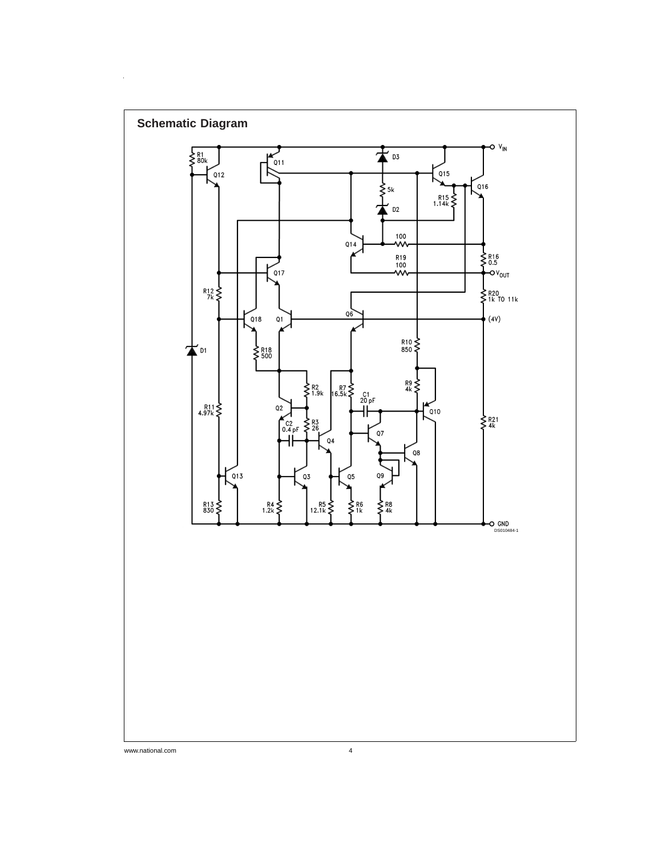

 $\alpha_{\rm{max}}$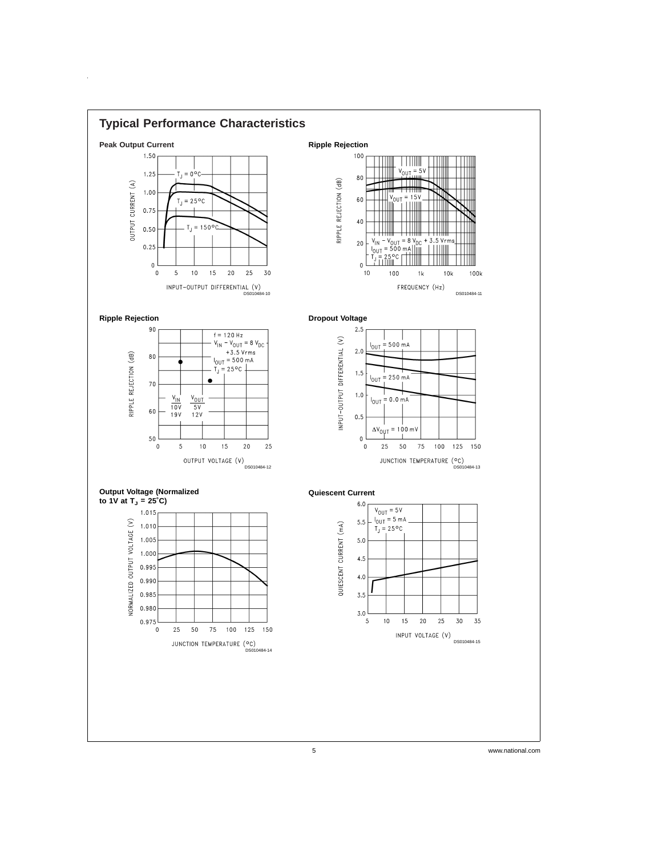

 $\hat{\mathbf{r}}$ 

5 www.national.com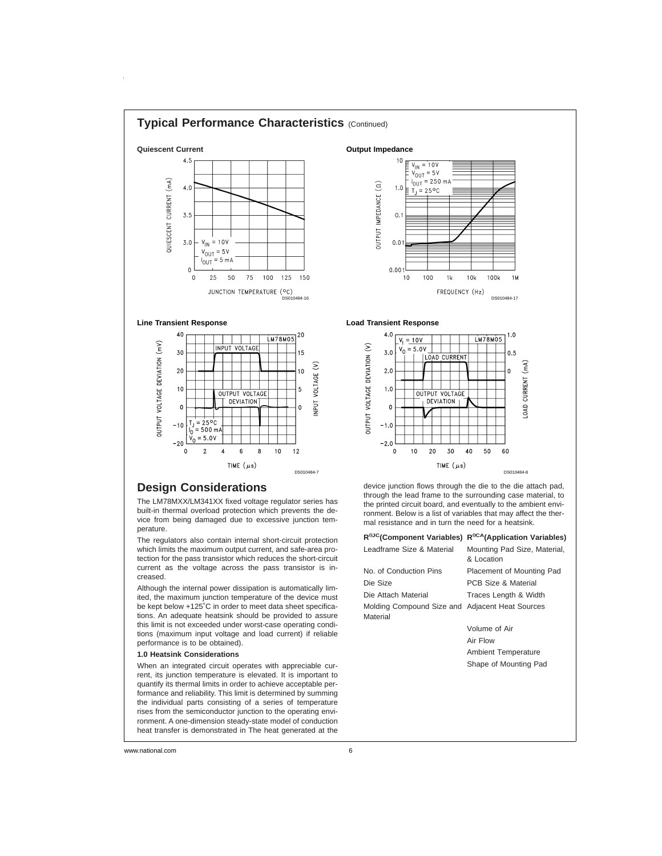

## **Design Considerations**

The LM78MXX/LM341XX fixed voltage regulator series has built-in thermal overload protection which prevents the device from being damaged due to excessive junction temperature.

The regulators also contain internal short-circuit protection which limits the maximum output current, and safe-area protection for the pass transistor which reduces the short-circuit current as the voltage across the pass transistor is increased.

Although the internal power dissipation is automatically limited, the maximum junction temperature of the device must be kept below +125˚C in order to meet data sheet specifications. An adequate heatsink should be provided to assure this limit is not exceeded under worst-case operating conditions (maximum input voltage and load current) if reliable performance is to be obtained).

#### **1.0 Heatsink Considerations**

When an integrated circuit operates with appreciable current, its junction temperature is elevated. It is important to quantify its thermal limits in order to achieve acceptable performance and reliability. This limit is determined by summing the individual parts consisting of a series of temperature rises from the semiconductor junction to the operating environment. A one-dimension steady-state model of conduction heat transfer is demonstrated in The heat generated at the

device junction flows through the die to the die attach pad, through the lead frame to the surrounding case material, to the printed circuit board, and eventually to the ambient environment. Below is a list of variables that may affect the thermal resistance and in turn the need for a heatsink.

|                                                             | R <sup>eJC</sup> (Component Variables) R <sup>eCA</sup> (Application Variables) |
|-------------------------------------------------------------|---------------------------------------------------------------------------------|
| Leadframe Size & Material                                   | Mounting Pad Size, Material,<br>& Location                                      |
| No. of Conduction Pins                                      | Placement of Mounting Pad                                                       |
| Die Size                                                    | PCB Size & Material                                                             |
| Die Attach Material                                         | Traces Length & Width                                                           |
| Molding Compound Size and Adjacent Heat Sources<br>Material |                                                                                 |
|                                                             | Volume of Air                                                                   |
|                                                             | Air Flow                                                                        |
|                                                             | <b>Ambient Temperature</b>                                                      |
|                                                             | Shape of Mounting Pad                                                           |
|                                                             |                                                                                 |
|                                                             |                                                                                 |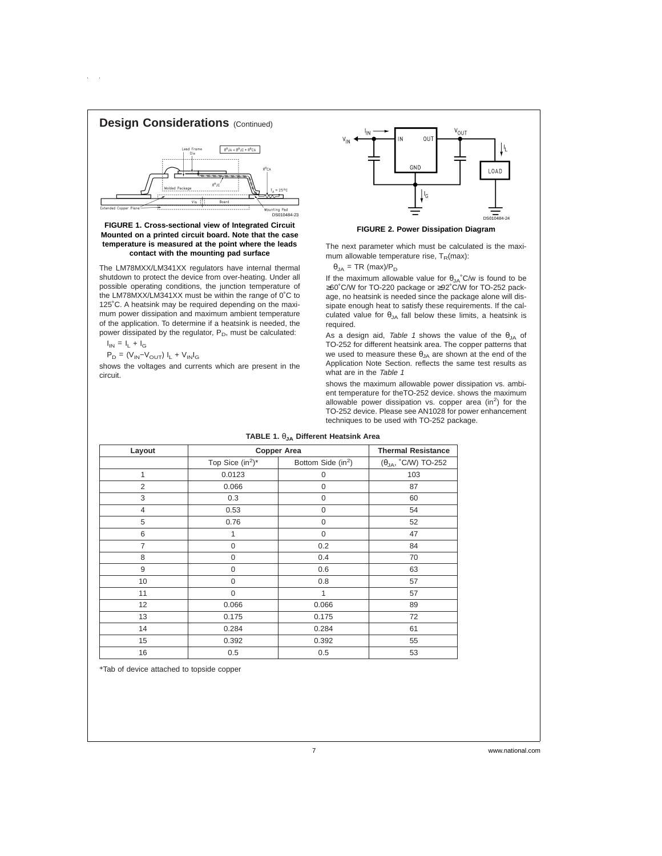

#### **FIGURE 1. Cross-sectional view of Integrated Circuit Mounted on a printed circuit board. Note that the case temperature is measured at the point where the leads contact with the mounting pad surface**

The LM78MXX/LM341XX regulators have internal thermal shutdown to protect the device from over-heating. Under all possible operating conditions, the junction temperature of the LM78MXX/LM341XX must be within the range of 0˚C to 125˚C. A heatsink may be required depending on the maximum power dissipation and maximum ambient temperature of the application. To determine if a heatsink is needed, the power dissipated by the regulator, P<sub>D</sub>, must be calculated:

 $I_{IN} = I_L + I_G$ 

 $\mathsf{P}_\mathsf{D} = (\mathsf{V}_{\mathsf{IN}}\text{-}\mathsf{V}_{\mathsf{OUT}}) \; \mathsf{I}_\mathsf{L} + \mathsf{V}_{\mathsf{IN}} \mathsf{I}_\mathsf{G}$ 

shows the voltages and currents which are present in the circuit.



**FIGURE 2. Power Dissipation Diagram**

The next parameter which must be calculated is the maximum allowable temperature rise,  $T_R(max)$ :

 $\theta_{JA}$  = TR (max)/P<sub>D</sub>

If the maximum allowable value for  $\theta_{JA}$ °C/w is found to be ≥60˚C/W for TO-220 package or ≥92˚C/W for TO-252 package, no heatsink is needed since the package alone will dissipate enough heat to satisfy these requirements. If the calculated value for  $\theta_{JA}$  fall below these limits, a heatsink is required.

As a design aid, Table 1 shows the value of the  $\theta_{JA}$  of TO-252 for different heatsink area. The copper patterns that we used to measure these  $\theta_{JA}$  are shown at the end of the Application Note Section. reflects the same test results as what are in the Table 1

shows the maximum allowable power dissipation vs. ambient temperature for theTO-252 device. shows the maximum allowable power dissipation vs. copper area (in<sup>2</sup>) for the TO-252 device. Please see AN1028 for power enhancement techniques to be used with TO-252 package.

| Layout         | <b>Copper Area</b>  | <b>Thermal Resistance</b>      |                               |
|----------------|---------------------|--------------------------------|-------------------------------|
|                | Top Sice $(in^2)^*$ | Bottom Side (in <sup>2</sup> ) | $(\theta_{JA}$ , °C/W) TO-252 |
| 1              | 0.0123              | 0                              | 103                           |
| $\overline{2}$ | 0.066               | 0                              | 87                            |
| 3              | 0.3                 | $\mathbf 0$                    | 60                            |
| $\overline{4}$ | 0.53                | $\mathbf 0$                    | 54                            |
| 5              | 0.76                | $\mathbf 0$                    | 52                            |
| 6              | 1                   | $\mathbf 0$                    | 47                            |
| $\overline{7}$ | $\mathsf 0$         | 0.2                            | 84                            |
| 8              | $\boldsymbol{0}$    | 0.4                            | 70                            |
| 9              | 0                   | 0.6                            | 63                            |
| 10             | 0                   | 0.8                            | 57                            |
| 11             | $\mathbf 0$         | 1                              | 57                            |
| 12             | 0.066               | 0.066                          | 89                            |
| 13             | 0.175               | 0.175                          | 72                            |
| 14             | 0.284               | 0.284                          | 61                            |
| 15             | 0.392               | 0.392                          | 55                            |
| 16             | 0.5                 | 0.5                            | 53                            |

#### **TABLE 1.** θ**JA Different Heatsink Area**

\*Tab of device attached to topside copper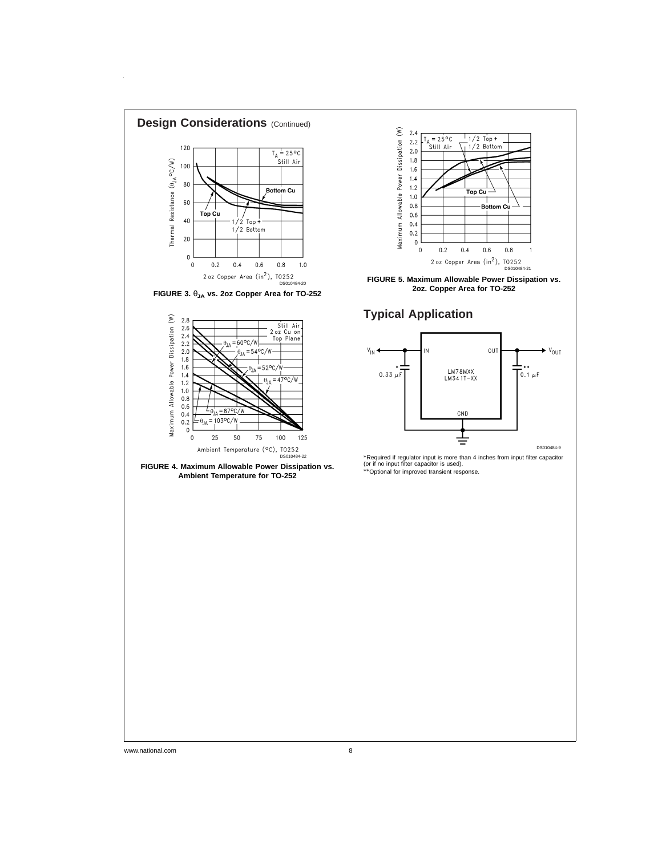

 $\hat{\boldsymbol{\beta}}$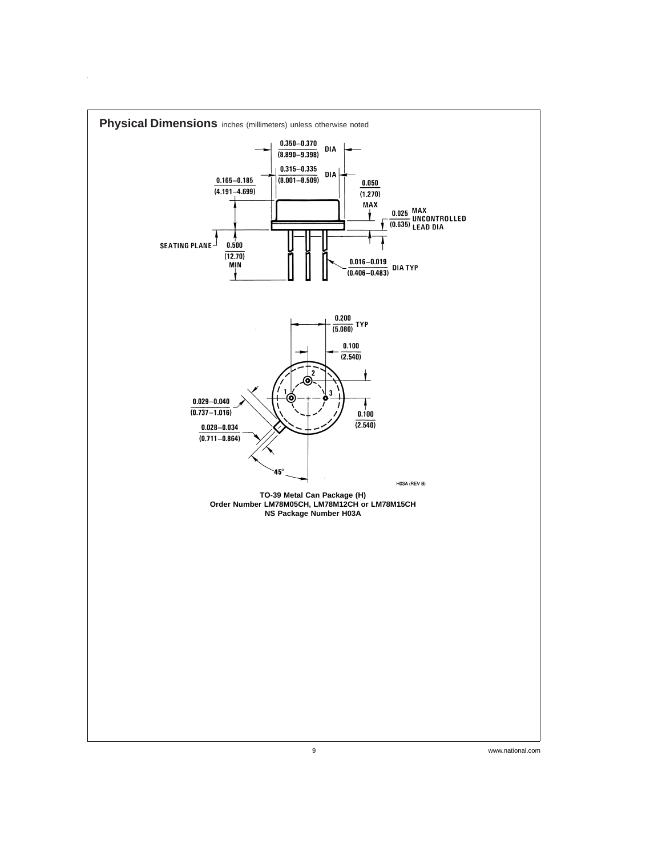

 $\hat{\mathbf{r}}$ 

9 www.national.com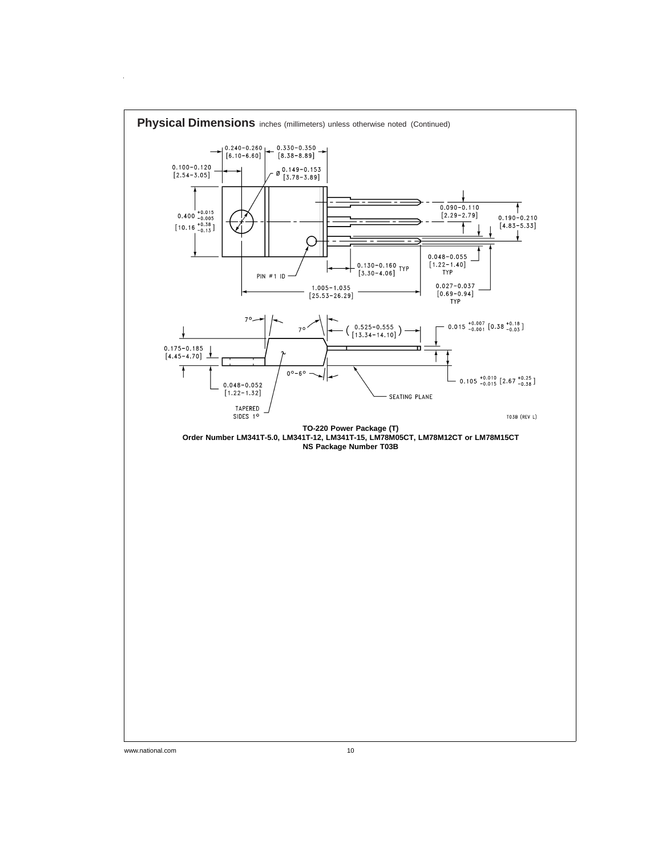

 $\hat{\mathcal{A}}$